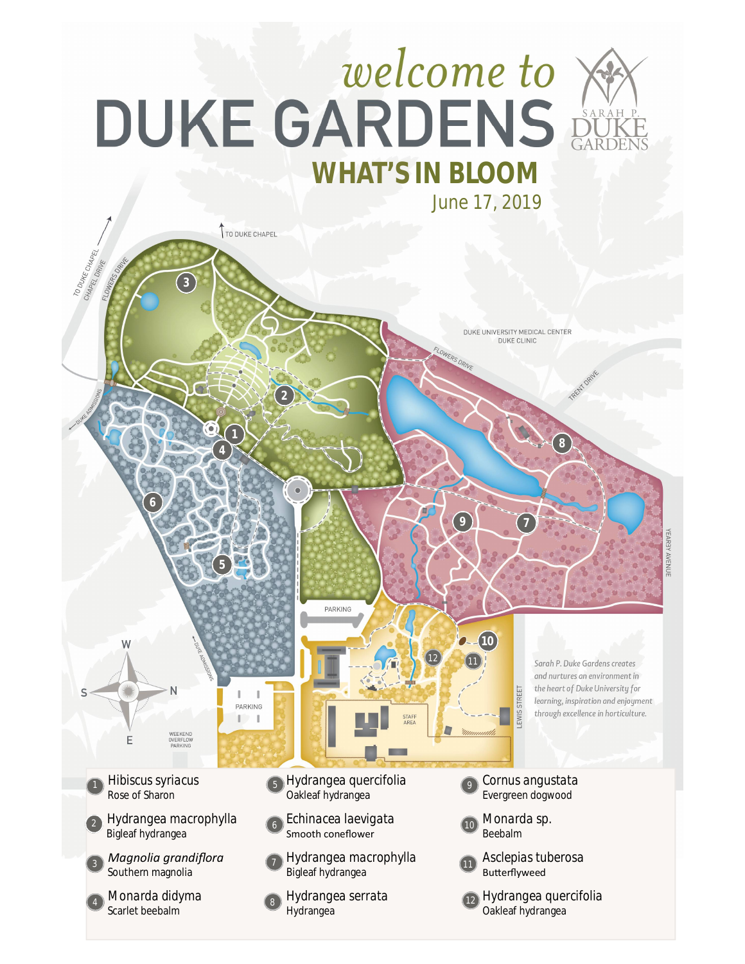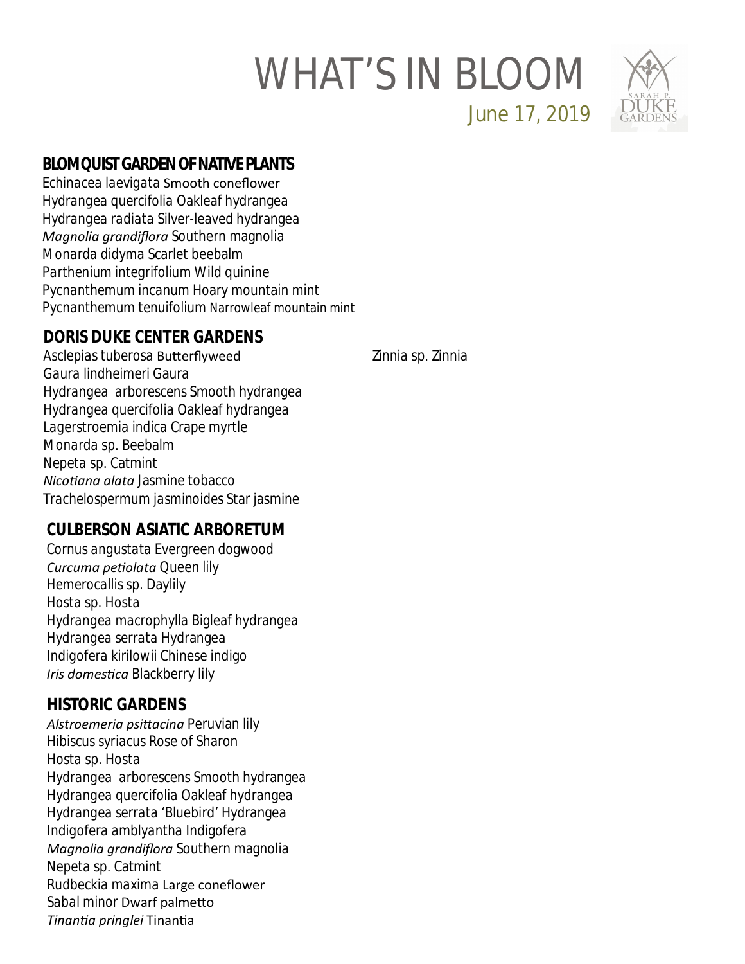## WHAT'S IN BLOOM



June 17, 2019

#### **BLOMQUIST GARDEN OF NATIVE PLANTS**

*Echinacea laevigata* Smooth coneflower *Hydrangea quercifolia* Oakleaf hydrangea *Hydrangea radiata* Silver-leaved hydrangea *Magnolia grandiflora* Southern magnolia *Monarda didyma* Scarlet beebalm *Parthenium integrifolium* Wild quinine *Pycnanthemum incanum* Hoary mountain mint *Pycnanthemum tenuifolium* Narrowleaf mountain mint

#### **DORIS DUKE CENTER GARDENS**

*Asclepias tuberosa* BuƩerflyweed *Gaura lindheimeri* Gaura *Hydrangea arborescens* Smooth hydrangea *Hydrangea quercifolia* Oakleaf hydrangea *Lagerstroemia indica* Crape myrtle *Monarda* sp. Beebalm *Nepeta* sp. Catmint *NicoƟana alata* Jasmine tobacco *Trachelospermum jasminoides* Star jasmine

### **CULBERSON ASIATIC ARBORETUM**

*Cornus angustata* Evergreen dogwood *Curcuma peƟolata* Queen lily *Hemerocallis* sp. Daylily *Hosta* sp. Hosta *Hydrangea macrophylla* Bigleaf hydrangea *Hydrangea serrata* Hydrangea *Indigofera kirilowii* Chinese indigo **Iris domestica Blackberry lily** 

#### **HISTORIC GARDENS**

*Alstroemeria psiƩacina* Peruvian lily *Hibiscus syriacus* Rose of Sharon *Hosta* sp. Hosta *Hydrangea arborescens* Smooth hydrangea *Hydrangea quercifolia* Oakleaf hydrangea *Hydrangea serrata '*Bluebird' Hydrangea *Indigofera amblyantha* Indigofera *Magnolia grandiflora* Southern magnolia *Nepeta* sp. Catmint *Rudbeckia maxima* Large coneflower *Sabal minor* Dwarf palmeƩo *TinanƟa pringlei* TinanƟa

*Zinnia* sp. Zinnia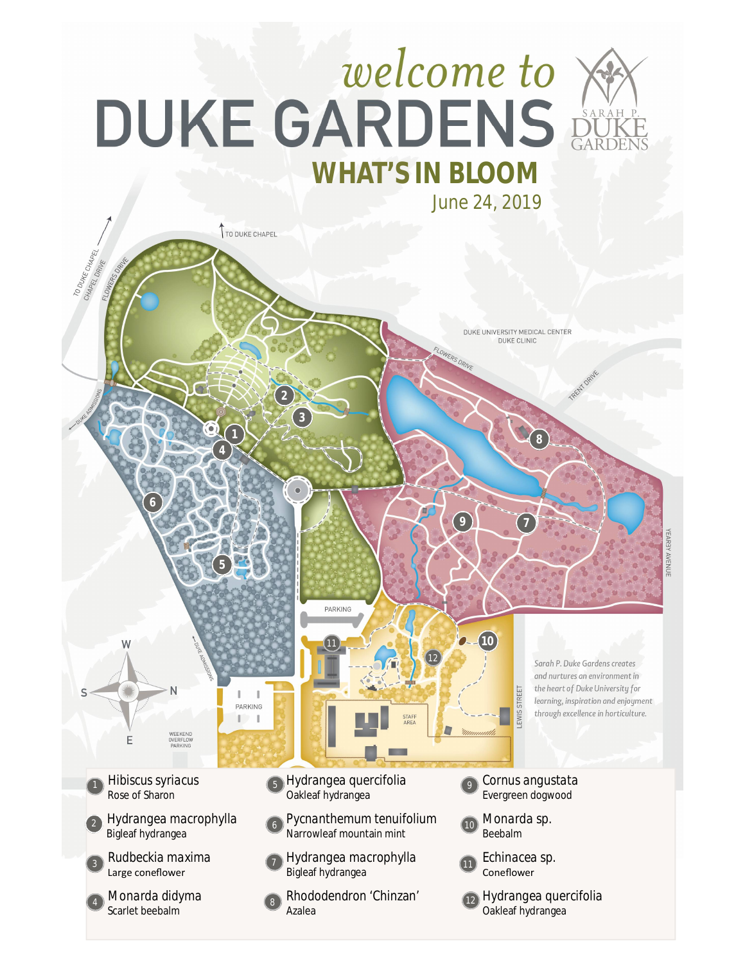